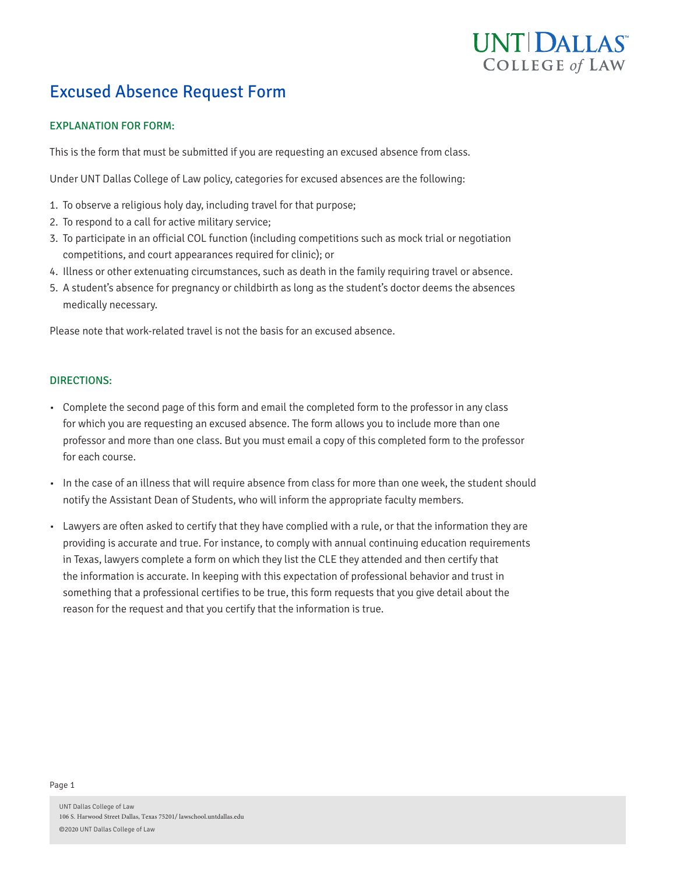# UNT DALLAS **COLLEGE of LAW**

## Excused Absence Request Form

### EXPLANATION FOR FORM:

This is the form that must be submitted if you are requesting an excused absence from class.

Under UNT Dallas College of Law policy, categories for excused absences are the following:

- 1. To observe a religious holy day, including travel for that purpose;
- 2. To respond to a call for active military service;
- 3. To participate in an official COL function (including competitions such as mock trial or negotiation competitions, and court appearances required for clinic); or
- 4. Illness or other extenuating circumstances, such as death in the family requiring travel or absence.
- 5. A student's absence for pregnancy or childbirth as long as the student's doctor deems the absences medically necessary.

Please note that work-related travel is not the basis for an excused absence.

#### DIRECTIONS:

- Complete the second page of this form and email the completed form to the professor in any class for which you are requesting an excused absence. The form allows you to include more than one professor and more than one class. But you must email a copy of this completed form to the professor for each course.
- In the case of an illness that will require absence from class for more than one week, the student should notify the Assistant Dean of Students, who will inform the appropriate faculty members.
- Lawyers are often asked to certify that they have complied with a rule, or that the information they are providing is accurate and true. For instance, to comply with annual continuing education requirements in Texas, lawyers complete a form on which they list the CLE they attended and then certify that the information is accurate. In keeping with this expectation of professional behavior and trust in something that a professional certifies to be true, this form requests that you give detail about the reason for the request and that you certify that the information is true.